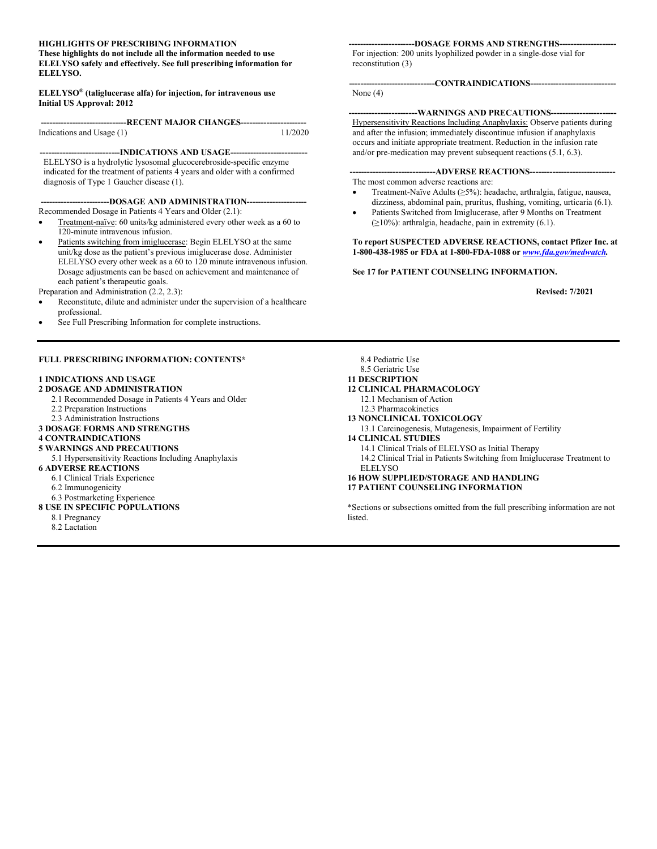#### **HIGHLIGHTS OF PRESCRIBING INFORMATION**

**These highlights do not include all the information needed to use ELELYSO safely and effectively. See full prescribing information for ELELYSO.**

**ELELYSO® (taliglucerase alfa) for injection, for intravenous use Initial US Approval: 2012**

**------------------------------RECENT MAJOR CHANGES-----------------------** Indications and Usage  $(1)$ 

-**INDICATIONS AND USAGE--**ELELYSO is a hydrolytic lysosomal glucocerebroside-specific enzyme indicated for the treatment of patients 4 years and older with a confirmed diagnosis of Type 1 Gaucher disease (1).

--DOSAGE AND ADMINISTRATION-Recommended Dosage in Patients 4 Years and Older (2.1):

- Treatment-naïve: 60 units/kg administered every other week as a 60 to 120-minute intravenous infusion.
- Patients switching from imiglucerase: Begin ELELYSO at the same unit/kg dose as the patient's previous imiglucerase dose. Administer ELELYSO every other week as a 60 to 120 minute intravenous infusion. Dosage adjustments can be based on achievement and maintenance of each patient's therapeutic goals.

Preparation and Administration (2.2, 2.3):

- Reconstitute, dilute and administer under the supervision of a healthcare professional.
- See Full Prescribing Information for complete instructions.

#### **FULL PRESCRIBING INFORMATION: CONTENTS\***

#### **1 INDICATIONS AND USAGE**

**2 DOSAGE AND ADMINISTRATION**

- 2.1 Recommended Dosage in Patients 4 Years and Older
- 2.2 Preparation Instructions
- 2.3 Administration Instructions
- **3 DOSAGE FORMS AND STRENGTHS**
- **4 CONTRAINDICATIONS**
- **5 WARNINGS AND PRECAUTIONS**
- 5.1 Hypersensitivity Reactions Including Anaphylaxis

#### **6 ADVERSE REACTIONS**

- 6.1 Clinical Trials Experience
- 6.2 Immunogenicity
- 6.3 Postmarketing Experience

#### **8 USE IN SPECIFIC POPULATIONS**

- 8.1 Pregnancy
- 8.2 Lactation

#### ---DOSAGE FORMS AND STRENGTHS---

For injection: 200 units lyophilized powder in a single-dose vial for reconstitution (3)

**------------------------------CONTRAINDICATIONS------------------------------**

None (4)

#### **------------------------WARNINGS AND PRECAUTIONS-----------------------** Hypersensitivity Reactions Including Anaphylaxis: Observe patients during and after the infusion; immediately discontinue infusion if anaphylaxis occurs and initiate appropriate treatment. Reduction in the infusion rate and/or pre-medication may prevent subsequent reactions (5.1, 6.3).

#### ---ADVERSE REACTIONS----

The most common adverse reactions are:

- Treatment-Naïve Adults (≥5%): headache, arthralgia, fatigue, nausea, dizziness, abdominal pain, pruritus, flushing, vomiting, urticaria (6.1).
- Patients Switched from Imiglucerase, after 9 Months on Treatment  $(≥10%)$ : arthralgia, headache, pain in extremity (6.1).

#### **To report SUSPECTED ADVERSE REACTIONS, contact Pfizer Inc. at 1-800-438-1985 or FDA at 1-800-FDA-1088 or** *[www.fda.gov/medwatch](http://www.fda.gov/medwatch).*

#### **See 17 for PATIENT COUNSELING INFORMATION.**

**Revised: 7/2021**

8.4 Pediatric Use

8.5 Geriatric Use **11 DESCRIPTION**

- **12 CLINICAL PHARMACOLOGY**
- 12.1 Mechanism of Action
- 12.3 Pharmacokinetics
- **13 NONCLINICAL TOXICOLOGY**
	-
- 13.1 Carcinogenesis, Mutagenesis, Impairment of Fertility **14 CLINICAL STUDIES**
	- 14.1 Clinical Trials of ELELYSO as Initial Therapy
	- 14.2 Clinical Trial in Patients Switching from Imiglucerase Treatment to ELELYSO
- **16 HOW SUPPLIED/STORAGE AND HANDLING 17 PATIENT COUNSELING INFORMATION**

\*Sections or subsections omitted from the full prescribing information are not listed.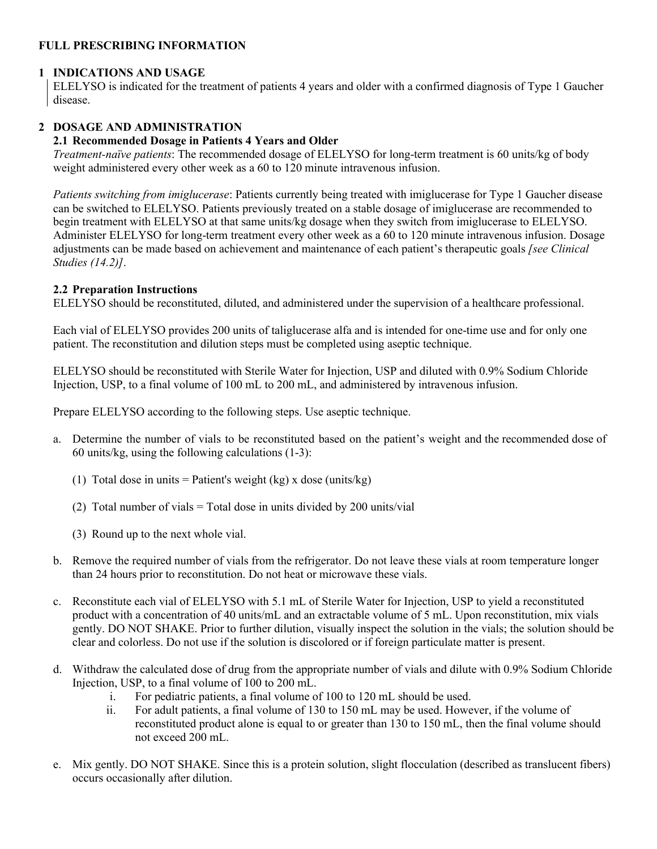## **FULL PRESCRIBING INFORMATION**

## **1 INDICATIONS AND USAGE**

ELELYSO is indicated for the treatment of patients 4 years and older with a confirmed diagnosis of Type 1 Gaucher disease.

## **2 DOSAGE AND ADMINISTRATION**

#### **2.1 Recommended Dosage in Patients 4 Years and Older**

*Treatment-naïve patients*: The recommended dosage of ELELYSO for long-term treatment is 60 units/kg of body weight administered every other week as a 60 to 120 minute intravenous infusion.

*Patients switching from imiglucerase*: Patients currently being treated with imiglucerase for Type 1 Gaucher disease can be switched to ELELYSO. Patients previously treated on a stable dosage of imiglucerase are recommended to begin treatment with ELELYSO at that same units/kg dosage when they switch from imiglucerase to ELELYSO. Administer ELELYSO for long-term treatment every other week as a 60 to 120 minute intravenous infusion. Dosage adjustments can be made based on achievement and maintenance of each patient's therapeutic goals *[see Clinical Studies (14.2)]*.

#### **2.2 Preparation Instructions**

ELELYSO should be reconstituted, diluted, and administered under the supervision of a healthcare professional.

Each vial of ELELYSO provides 200 units of taliglucerase alfa and is intended for one-time use and for only one patient. The reconstitution and dilution steps must be completed using aseptic technique.

ELELYSO should be reconstituted with Sterile Water for Injection, USP and diluted with 0.9% Sodium Chloride Injection, USP, to a final volume of 100 mL to 200 mL, and administered by intravenous infusion.

Prepare ELELYSO according to the following steps. Use aseptic technique.

- a. Determine the number of vials to be reconstituted based on the patient's weight and the recommended dose of 60 units/kg, using the following calculations  $(1-3)$ :
	- (1) Total dose in units = Patient's weight (kg) x dose (units/kg)
	- (2) Total number of vials = Total dose in units divided by 200 units/vial
	- (3) Round up to the next whole vial.
- b. Remove the required number of vials from the refrigerator. Do not leave these vials at room temperature longer than 24 hours prior to reconstitution. Do not heat or microwave these vials.
- c. Reconstitute each vial of ELELYSO with 5.1 mL of Sterile Water for Injection, USP to yield a reconstituted product with a concentration of 40 units/mL and an extractable volume of 5 mL. Upon reconstitution, mix vials gently. DO NOT SHAKE. Prior to further dilution, visually inspect the solution in the vials; the solution should be clear and colorless. Do not use if the solution is discolored or if foreign particulate matter is present.
- d. Withdraw the calculated dose of drug from the appropriate number of vials and dilute with 0.9% Sodium Chloride Injection, USP, to a final volume of 100 to 200 mL.
	- i. For pediatric patients, a final volume of 100 to 120 mL should be used.
	- ii. For adult patients, a final volume of 130 to 150 mL may be used. However, if the volume of reconstituted product alone is equal to or greater than 130 to 150 mL, then the final volume should not exceed 200 mL.
- e. Mix gently. DO NOT SHAKE. Since this is a protein solution, slight flocculation (described as translucent fibers) occurs occasionally after dilution.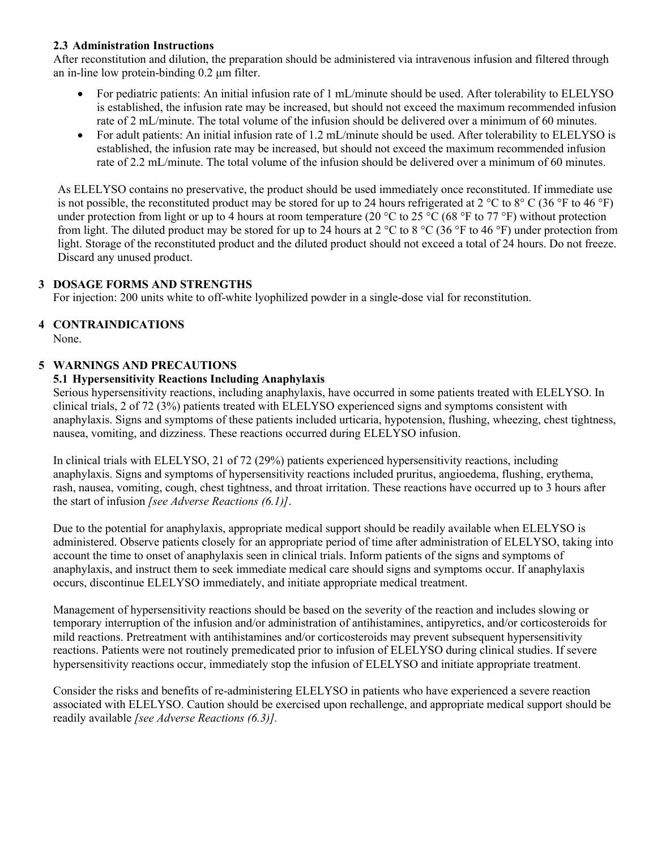## **2.3 Administration Instructions**

After reconstitution and dilution, the preparation should be administered via intravenous infusion and filtered through an in-line low protein-binding 0.2 μm filter.

- For pediatric patients: An initial infusion rate of 1 mL/minute should be used. After tolerability to ELELYSO is established, the infusion rate may be increased, but should not exceed the maximum recommended infusion rate of 2 mL/minute. The total volume of the infusion should be delivered over a minimum of 60 minutes.
- For adult patients: An initial infusion rate of 1.2 mL/minute should be used. After tolerability to ELELYSO is established, the infusion rate may be increased, but should not exceed the maximum recommended infusion rate of 2.2 mL/minute. The total volume of the infusion should be delivered over a minimum of 60 minutes.

As ELELYSO contains no preservative, the product should be used immediately once reconstituted. If immediate use is not possible, the reconstituted product may be stored for up to 24 hours refrigerated at 2 °C to 8° C (36 °F to 46 °F) under protection from light or up to 4 hours at room temperature (20 °C to 25 °C (68 °F to 77 °F) without protection from light. The diluted product may be stored for up to 24 hours at 2  $\degree$ C to 8  $\degree$ C (36  $\degree$ F to 46  $\degree$ F) under protection from light. Storage of the reconstituted product and the diluted product should not exceed a total of 24 hours. Do not freeze. Discard any unused product.

## **3 DOSAGE FORMS AND STRENGTHS**

For injection: 200 units white to off-white lyophilized powder in a single-dose vial for reconstitution.

# **4 CONTRAINDICATIONS**

None.

## **5 WARNINGS AND PRECAUTIONS**

## **5.1 Hypersensitivity Reactions Including Anaphylaxis**

Serious hypersensitivity reactions, including anaphylaxis, have occurred in some patients treated with ELELYSO. In clinical trials, 2 of 72 (3%) patients treated with ELELYSO experienced signs and symptoms consistent with anaphylaxis. Signs and symptoms of these patients included urticaria, hypotension, flushing, wheezing, chest tightness, nausea, vomiting, and dizziness. These reactions occurred during ELELYSO infusion.

In clinical trials with ELELYSO, 21 of 72 (29%) patients experienced hypersensitivity reactions, including anaphylaxis. Signs and symptoms of hypersensitivity reactions included pruritus, angioedema, flushing, erythema, rash, nausea, vomiting, cough, chest tightness, and throat irritation. These reactions have occurred up to 3 hours after the start of infusion *[see Adverse Reactions (6.1)]*.

Due to the potential for anaphylaxis, appropriate medical support should be readily available when ELELYSO is administered. Observe patients closely for an appropriate period of time after administration of ELELYSO, taking into account the time to onset of anaphylaxis seen in clinical trials. Inform patients of the signs and symptoms of anaphylaxis, and instruct them to seek immediate medical care should signs and symptoms occur. If anaphylaxis occurs, discontinue ELELYSO immediately, and initiate appropriate medical treatment.

Management of hypersensitivity reactions should be based on the severity of the reaction and includes slowing or temporary interruption of the infusion and/or administration of antihistamines, antipyretics, and/or corticosteroids for mild reactions. Pretreatment with antihistamines and/or corticosteroids may prevent subsequent hypersensitivity reactions. Patients were not routinely premedicated prior to infusion of ELELYSO during clinical studies. If severe hypersensitivity reactions occur, immediately stop the infusion of ELELYSO and initiate appropriate treatment.

Consider the risks and benefits of re-administering ELELYSO in patients who have experienced a severe reaction associated with ELELYSO. Caution should be exercised upon rechallenge, and appropriate medical support should be readily available *[see Adverse Reactions (6.3)].*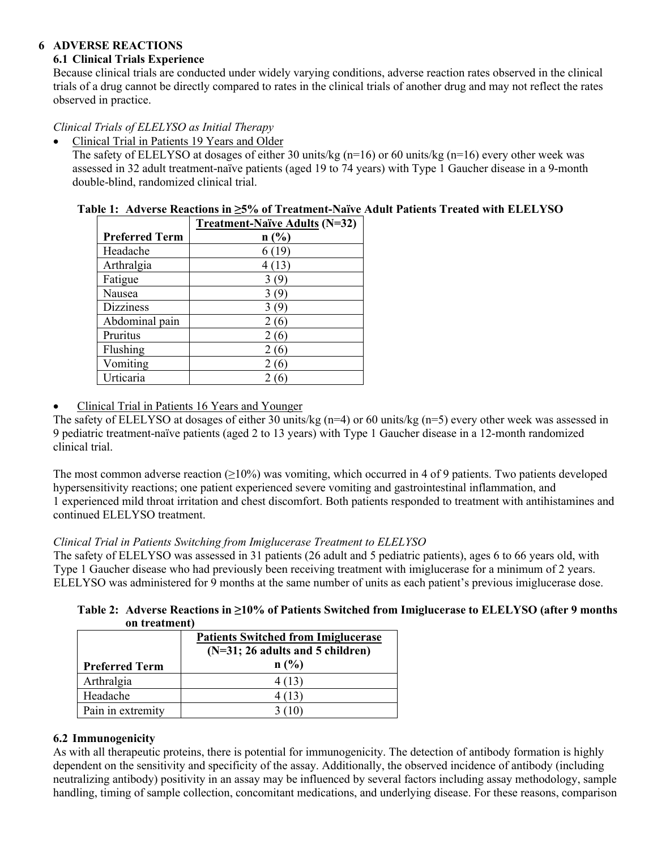## **6 ADVERSE REACTIONS**

# **6.1 Clinical Trials Experience**

Because clinical trials are conducted under widely varying conditions, adverse reaction rates observed in the clinical trials of a drug cannot be directly compared to rates in the clinical trials of another drug and may not reflect the rates observed in practice.

# *Clinical Trials of ELELYSO as Initial Therapy*

• Clinical Trial in Patients 19 Years and Older

The safety of ELELYSO at dosages of either 30 units/kg (n=16) or 60 units/kg (n=16) every other week was assessed in 32 adult treatment-naïve patients (aged 19 to 74 years) with Type 1 Gaucher disease in a 9-month double-blind, randomized clinical trial.

# **Table 1: Adverse Reactions in ≥5% of Treatment-Naïve Adult Patients Treated with ELELYSO**

|                       | <b>Treatment-Naïve Adults (N=32)</b> |  |
|-----------------------|--------------------------------------|--|
| <b>Preferred Term</b> | n(%)                                 |  |
| Headache              | 6 (19)                               |  |
| Arthralgia            | 4(13)                                |  |
| Fatigue               | 3(9)                                 |  |
| Nausea                | 309                                  |  |
| <b>Dizziness</b>      | 309                                  |  |
| Abdominal pain        | 2 (6)                                |  |
| Pruritus              | 2 (6)                                |  |
| Flushing              | 2 (6                                 |  |
| Vomiting              | 2 (6                                 |  |
| Urticaria             |                                      |  |

Clinical Trial in Patients 16 Years and Younger

The safety of ELELYSO at dosages of either 30 units/kg (n=4) or 60 units/kg (n=5) every other week was assessed in 9 pediatric treatment-naïve patients (aged 2 to 13 years) with Type 1 Gaucher disease in a 12-month randomized clinical trial.

The most common adverse reaction  $(\geq 10\%)$  was vomiting, which occurred in 4 of 9 patients. Two patients developed hypersensitivity reactions; one patient experienced severe vomiting and gastrointestinal inflammation, and 1 experienced mild throat irritation and chest discomfort. Both patients responded to treatment with antihistamines and continued ELELYSO treatment.

## *Clinical Trial in Patients Switching from Imiglucerase Treatment to ELELYSO*

The safety of ELELYSO was assessed in 31 patients (26 adult and 5 pediatric patients), ages 6 to 66 years old, with Type 1 Gaucher disease who had previously been receiving treatment with imiglucerase for a minimum of 2 years. ELELYSO was administered for 9 months at the same number of units as each patient's previous imiglucerase dose.

| Table 2: Adverse Reactions in $\geq 10\%$ of Patients Switched from Imiglucerase to ELELYSO (after 9 months |
|-------------------------------------------------------------------------------------------------------------|
| on treatment)                                                                                               |

|                       | <b>Patients Switched from Imiglucerase</b><br>$(N=31; 26$ adults and 5 children) |  |
|-----------------------|----------------------------------------------------------------------------------|--|
| <b>Preferred Term</b> | n(%)                                                                             |  |
| Arthralgia            | 4 (13)                                                                           |  |
| Headache              |                                                                                  |  |
| Pain in extremity     |                                                                                  |  |

## **6.2 Immunogenicity**

As with all therapeutic proteins, there is potential for immunogenicity. The detection of antibody formation is highly dependent on the sensitivity and specificity of the assay. Additionally, the observed incidence of antibody (including neutralizing antibody) positivity in an assay may be influenced by several factors including assay methodology, sample handling, timing of sample collection, concomitant medications, and underlying disease. For these reasons, comparison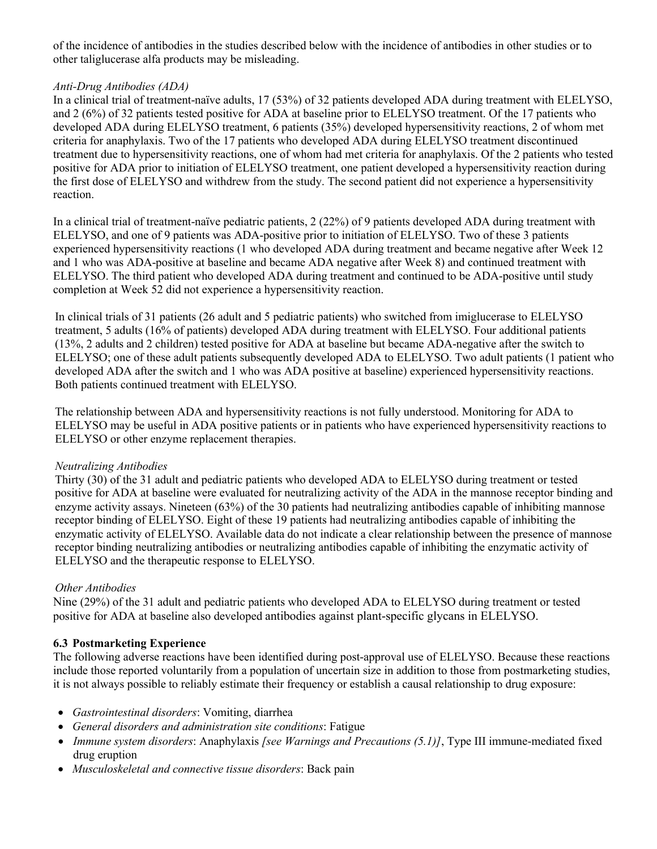of the incidence of antibodies in the studies described below with the incidence of antibodies in other studies or to other taliglucerase alfa products may be misleading.

## *Anti-Drug Antibodies (ADA)*

In a clinical trial of treatment-naïve adults, 17 (53%) of 32 patients developed ADA during treatment with ELELYSO, and 2 (6%) of 32 patients tested positive for ADA at baseline prior to ELELYSO treatment. Of the 17 patients who developed ADA during ELELYSO treatment, 6 patients (35%) developed hypersensitivity reactions, 2 of whom met criteria for anaphylaxis. Two of the 17 patients who developed ADA during ELELYSO treatment discontinued treatment due to hypersensitivity reactions, one of whom had met criteria for anaphylaxis. Of the 2 patients who tested positive for ADA prior to initiation of ELELYSO treatment, one patient developed a hypersensitivity reaction during the first dose of ELELYSO and withdrew from the study. The second patient did not experience a hypersensitivity reaction.

In a clinical trial of treatment-naïve pediatric patients, 2 (22%) of 9 patients developed ADA during treatment with ELELYSO, and one of 9 patients was ADA-positive prior to initiation of ELELYSO. Two of these 3 patients experienced hypersensitivity reactions (1 who developed ADA during treatment and became negative after Week 12 and 1 who was ADA-positive at baseline and became ADA negative after Week 8) and continued treatment with ELELYSO. The third patient who developed ADA during treatment and continued to be ADA-positive until study completion at Week 52 did not experience a hypersensitivity reaction.

In clinical trials of 31 patients (26 adult and 5 pediatric patients) who switched from imiglucerase to ELELYSO treatment, 5 adults (16% of patients) developed ADA during treatment with ELELYSO. Four additional patients (13%, 2 adults and 2 children) tested positive for ADA at baseline but became ADA-negative after the switch to ELELYSO; one of these adult patients subsequently developed ADA to ELELYSO. Two adult patients (1 patient who developed ADA after the switch and 1 who was ADA positive at baseline) experienced hypersensitivity reactions. Both patients continued treatment with ELELYSO.

The relationship between ADA and hypersensitivity reactions is not fully understood. Monitoring for ADA to ELELYSO may be useful in ADA positive patients or in patients who have experienced hypersensitivity reactions to ELELYSO or other enzyme replacement therapies.

#### *Neutralizing Antibodies*

Thirty (30) of the 31 adult and pediatric patients who developed ADA to ELELYSO during treatment or tested positive for ADA at baseline were evaluated for neutralizing activity of the ADA in the mannose receptor binding and enzyme activity assays. Nineteen (63%) of the 30 patients had neutralizing antibodies capable of inhibiting mannose receptor binding of ELELYSO. Eight of these 19 patients had neutralizing antibodies capable of inhibiting the enzymatic activity of ELELYSO. Available data do not indicate a clear relationship between the presence of mannose receptor binding neutralizing antibodies or neutralizing antibodies capable of inhibiting the enzymatic activity of ELELYSO and the therapeutic response to ELELYSO.

## *Other Antibodies*

Nine (29%) of the 31 adult and pediatric patients who developed ADA to ELELYSO during treatment or tested positive for ADA at baseline also developed antibodies against plant-specific glycans in ELELYSO.

## **6.3 Postmarketing Experience**

The following adverse reactions have been identified during post-approval use of ELELYSO. Because these reactions include those reported voluntarily from a population of uncertain size in addition to those from postmarketing studies, it is not always possible to reliably estimate their frequency or establish a causal relationship to drug exposure:

- *Gastrointestinal disorders*: Vomiting, diarrhea
- *General disorders and administration site conditions*: Fatigue
- *Immune system disorders*: Anaphylaxis *[see Warnings and Precautions (5.1)]*, Type III immune-mediated fixed drug eruption
- *Musculoskeletal and connective tissue disorders*: Back pain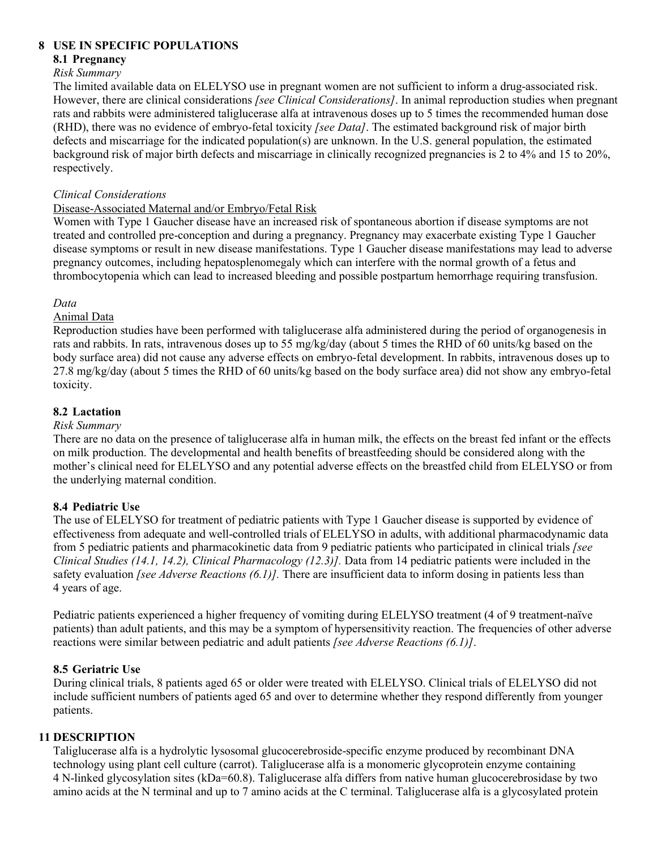## **8 USE IN SPECIFIC POPULATIONS**

#### **8.1 Pregnancy**

#### *Risk Summary*

The limited available data on ELELYSO use in pregnant women are not sufficient to inform a drug-associated risk. However, there are clinical considerations *[see Clinical Considerations]*. In animal reproduction studies when pregnant rats and rabbits were administered taliglucerase alfa at intravenous doses up to 5 times the recommended human dose (RHD), there was no evidence of embryo-fetal toxicity *[see Data]*. The estimated background risk of major birth defects and miscarriage for the indicated population(s) are unknown. In the U.S. general population, the estimated background risk of major birth defects and miscarriage in clinically recognized pregnancies is 2 to 4% and 15 to 20%, respectively.

## *Clinical Considerations*

#### Disease-Associated Maternal and/or Embryo/Fetal Risk

Women with Type 1 Gaucher disease have an increased risk of spontaneous abortion if disease symptoms are not treated and controlled pre-conception and during a pregnancy. Pregnancy may exacerbate existing Type 1 Gaucher disease symptoms or result in new disease manifestations. Type 1 Gaucher disease manifestations may lead to adverse pregnancy outcomes, including hepatosplenomegaly which can interfere with the normal growth of a fetus and thrombocytopenia which can lead to increased bleeding and possible postpartum hemorrhage requiring transfusion.

## *Data*

## Animal Data

Reproduction studies have been performed with taliglucerase alfa administered during the period of organogenesis in rats and rabbits. In rats, intravenous doses up to 55 mg/kg/day (about 5 times the RHD of 60 units/kg based on the body surface area) did not cause any adverse effects on embryo-fetal development. In rabbits, intravenous doses up to 27.8 mg/kg/day (about 5 times the RHD of 60 units/kg based on the body surface area) did not show any embryo-fetal toxicity.

## **8.2 Lactation**

#### *Risk Summary*

There are no data on the presence of taliglucerase alfa in human milk, the effects on the breast fed infant or the effects on milk production. The developmental and health benefits of breastfeeding should be considered along with the mother's clinical need for ELELYSO and any potential adverse effects on the breastfed child from ELELYSO or from the underlying maternal condition.

## **8.4 Pediatric Use**

The use of ELELYSO for treatment of pediatric patients with Type 1 Gaucher disease is supported by evidence of effectiveness from adequate and well-controlled trials of ELELYSO in adults, with additional pharmacodynamic data from 5 pediatric patients and pharmacokinetic data from 9 pediatric patients who participated in clinical trials *[see Clinical Studies (14.1, 14.2), Clinical Pharmacology (12.3)].* Data from 14 pediatric patients were included in the safety evaluation *[see Adverse Reactions (6.1)].* There are insufficient data to inform dosing in patients less than 4 years of age.

Pediatric patients experienced a higher frequency of vomiting during ELELYSO treatment (4 of 9 treatment-naïve patients) than adult patients, and this may be a symptom of hypersensitivity reaction. The frequencies of other adverse reactions were similar between pediatric and adult patients *[see Adverse Reactions (6.1)]*.

## **8.5 Geriatric Use**

During clinical trials, 8 patients aged 65 or older were treated with ELELYSO. Clinical trials of ELELYSO did not include sufficient numbers of patients aged 65 and over to determine whether they respond differently from younger patients.

#### **11 DESCRIPTION**

Taliglucerase alfa is a hydrolytic lysosomal glucocerebroside-specific enzyme produced by recombinant DNA technology using plant cell culture (carrot). Taliglucerase alfa is a monomeric glycoprotein enzyme containing 4 N-linked glycosylation sites (kDa=60.8). Taliglucerase alfa differs from native human glucocerebrosidase by two amino acids at the N terminal and up to 7 amino acids at the C terminal. Taliglucerase alfa is a glycosylated protein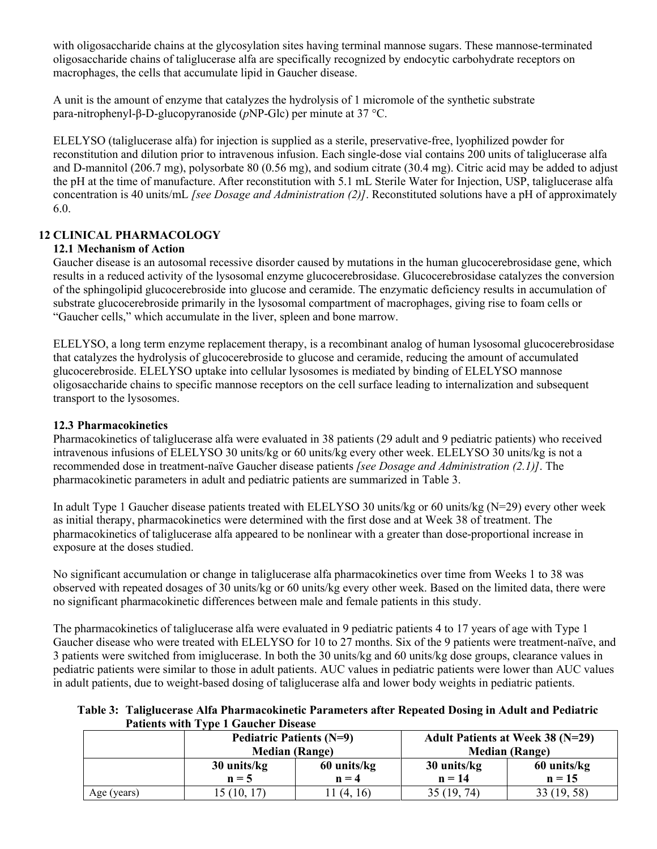with oligosaccharide chains at the glycosylation sites having terminal mannose sugars. These mannose-terminated oligosaccharide chains of taliglucerase alfa are specifically recognized by endocytic carbohydrate receptors on macrophages, the cells that accumulate lipid in Gaucher disease.

A unit is the amount of enzyme that catalyzes the hydrolysis of 1 micromole of the synthetic substrate para-nitrophenyl-β-D-glucopyranoside (*p*NP-Glc) per minute at 37 °C.

ELELYSO (taliglucerase alfa) for injection is supplied as a sterile, preservative-free, lyophilized powder for reconstitution and dilution prior to intravenous infusion. Each single-dose vial contains 200 units of taliglucerase alfa and D-mannitol (206.7 mg), polysorbate 80 (0.56 mg), and sodium citrate (30.4 mg). Citric acid may be added to adjust the pH at the time of manufacture. After reconstitution with 5.1 mL Sterile Water for Injection, USP, taliglucerase alfa concentration is 40 units/mL *[see Dosage and Administration (2)]*. Reconstituted solutions have a pH of approximately 6.0.

## **12 CLINICAL PHARMACOLOGY**

#### **12.1 Mechanism of Action**

Gaucher disease is an autosomal recessive disorder caused by mutations in the human glucocerebrosidase gene, which results in a reduced activity of the lysosomal enzyme glucocerebrosidase. Glucocerebrosidase catalyzes the conversion of the sphingolipid glucocerebroside into glucose and ceramide. The enzymatic deficiency results in accumulation of substrate glucocerebroside primarily in the lysosomal compartment of macrophages, giving rise to foam cells or "Gaucher cells," which accumulate in the liver, spleen and bone marrow.

ELELYSO, a long term enzyme replacement therapy, is a recombinant analog of human lysosomal glucocerebrosidase that catalyzes the hydrolysis of glucocerebroside to glucose and ceramide, reducing the amount of accumulated glucocerebroside. ELELYSO uptake into cellular lysosomes is mediated by binding of ELELYSO mannose oligosaccharide chains to specific mannose receptors on the cell surface leading to internalization and subsequent transport to the lysosomes.

#### **12.3 Pharmacokinetics**

Pharmacokinetics of taliglucerase alfa were evaluated in 38 patients (29 adult and 9 pediatric patients) who received intravenous infusions of ELELYSO 30 units/kg or 60 units/kg every other week. ELELYSO 30 units/kg is not a recommended dose in treatment-naïve Gaucher disease patients *[see Dosage and Administration (2.1)]*. The pharmacokinetic parameters in adult and pediatric patients are summarized in Table 3.

In adult Type 1 Gaucher disease patients treated with ELELYSO 30 units/kg or 60 units/kg (N=29) every other week as initial therapy, pharmacokinetics were determined with the first dose and at Week 38 of treatment. The pharmacokinetics of taliglucerase alfa appeared to be nonlinear with a greater than dose-proportional increase in exposure at the doses studied.

No significant accumulation or change in taliglucerase alfa pharmacokinetics over time from Weeks 1 to 38 was observed with repeated dosages of 30 units/kg or 60 units/kg every other week. Based on the limited data, there were no significant pharmacokinetic differences between male and female patients in this study.

The pharmacokinetics of taliglucerase alfa were evaluated in 9 pediatric patients 4 to 17 years of age with Type 1 Gaucher disease who were treated with ELELYSO for 10 to 27 months. Six of the 9 patients were treatment-naïve, and 3 patients were switched from imiglucerase. In both the 30 units/kg and 60 units/kg dose groups, clearance values in pediatric patients were similar to those in adult patients. AUC values in pediatric patients were lower than AUC values in adult patients, due to weight-based dosing of taliglucerase alfa and lower body weights in pediatric patients.

**Table 3: Taliglucerase Alfa Pharmacokinetic Parameters after Repeated Dosing in Adult and Pediatric Patients with Type 1 Gaucher Disease**

|             | <b>Pediatric Patients (N=9)</b><br><b>Median (Range)</b> |                        | <b>Adult Patients at Week 38 (N=29)</b><br><b>Median (Range)</b> |                         |
|-------------|----------------------------------------------------------|------------------------|------------------------------------------------------------------|-------------------------|
|             | 30 units/kg<br>$n = 5$                                   | 60 units/kg<br>$n = 4$ | 30 units/kg<br>$n = 14$                                          | 60 units/kg<br>$n = 15$ |
| Age (years) | 15(10, 17)                                               | (4, 16)                | 35(19, 74)                                                       | 33(19, 58)              |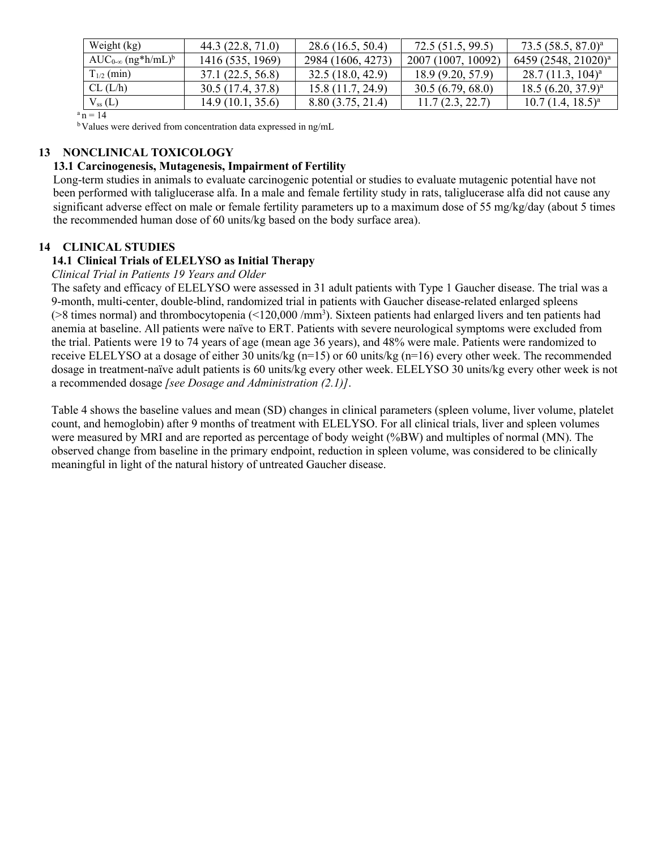| Weight (kg)                             | 44.3 (22.8, 71.0) | 28.6(16.5, 50.4)  | 72.5 (51.5, 99.5)  | $73.5(58.5, 87.0)^a$            |
|-----------------------------------------|-------------------|-------------------|--------------------|---------------------------------|
| $AUC_{0-\infty}$ (ng*h/mL) <sup>b</sup> | 1416 (535, 1969)  | 2984 (1606, 4273) | 2007 (1007, 10092) | 6459 (2548, 21020) <sup>a</sup> |
| $T_{1/2}$ (min)                         | 37.1(22.5, 56.8)  | 32.5(18.0, 42.9)  | 18.9 (9.20, 57.9)  | $28.7(11.3, 104)^{a}$           |
| CL (L/h)                                | 30.5 (17.4, 37.8) | 15.8 (11.7, 24.9) | 30.5(6.79, 68.0)   | $18.5 (6.20, 37.9)^a$           |
| $V_{ss}(L)$                             | 14.9(10.1, 35.6)  | 8.80(3.75, 21.4)  | 11.7(2.3, 22.7)    | $10.7$ $(1.4, 18.5)^a$          |

 $a_n = 14$ 

<sup>b</sup>Values were derived from concentration data expressed in ng/mL

#### **13 NONCLINICAL TOXICOLOGY**

#### **13.1 Carcinogenesis, Mutagenesis, Impairment of Fertility**

Long-term studies in animals to evaluate carcinogenic potential or studies to evaluate mutagenic potential have not been performed with taliglucerase alfa. In a male and female fertility study in rats, taliglucerase alfa did not cause any significant adverse effect on male or female fertility parameters up to a maximum dose of 55 mg/kg/day (about 5 times the recommended human dose of 60 units/kg based on the body surface area).

#### **14 CLINICAL STUDIES**

# **14.1 Clinical Trials of ELELYSO as Initial Therapy**

*Clinical Trial in Patients 19 Years and Older*

The safety and efficacy of ELELYSO were assessed in 31 adult patients with Type 1 Gaucher disease. The trial was a 9-month, multi-center, double-blind, randomized trial in patients with Gaucher disease-related enlarged spleens (>8 times normal) and thrombocytopenia (<120,000 /mm<sup>3</sup>). Sixteen patients had enlarged livers and ten patients had anemia at baseline. All patients were naïve to ERT. Patients with severe neurological symptoms were excluded from the trial. Patients were 19 to 74 years of age (mean age 36 years), and 48% were male. Patients were randomized to receive ELELYSO at a dosage of either 30 units/kg (n=15) or 60 units/kg (n=16) every other week. The recommended dosage in treatment-naïve adult patients is 60 units/kg every other week. ELELYSO 30 units/kg every other week is not a recommended dosage *[see Dosage and Administration (2.1)]*.

Table 4 shows the baseline values and mean (SD) changes in clinical parameters (spleen volume, liver volume, platelet count, and hemoglobin) after 9 months of treatment with ELELYSO. For all clinical trials, liver and spleen volumes were measured by MRI and are reported as percentage of body weight (%BW) and multiples of normal (MN). The observed change from baseline in the primary endpoint, reduction in spleen volume, was considered to be clinically meaningful in light of the natural history of untreated Gaucher disease.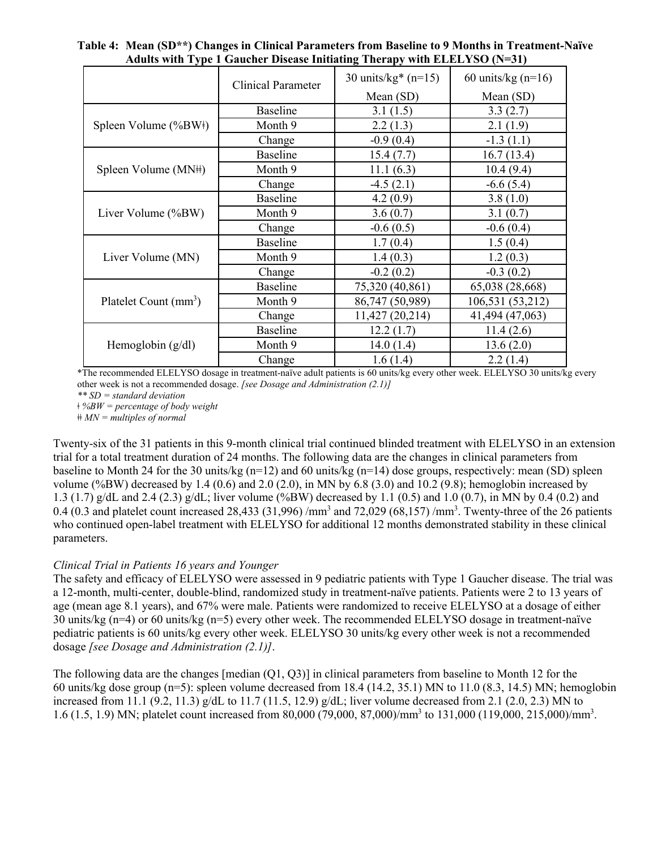|                                   |                                                                                                                                                                                                                                   | 30 units/ $kg*(n=15)$ | 60 units/ $kg$ (n=16) |
|-----------------------------------|-----------------------------------------------------------------------------------------------------------------------------------------------------------------------------------------------------------------------------------|-----------------------|-----------------------|
|                                   |                                                                                                                                                                                                                                   | Mean $(SD)$           | Mean $(SD)$           |
|                                   | <b>Baseline</b>                                                                                                                                                                                                                   | 3.1(1.5)              | 3.3(2.7)              |
| Spleen Volume (%BW\)              | Month 9                                                                                                                                                                                                                           | 2.2(1.3)              | 2.1(1.9)              |
|                                   | Change                                                                                                                                                                                                                            | $-0.9(0.4)$           | $-1.3(1.1)$           |
|                                   | <b>Baseline</b>                                                                                                                                                                                                                   | 15.4(7.7)             | 16.7(13.4)            |
| Spleen Volume (MN#)               | Month 9                                                                                                                                                                                                                           | 11.1(6.3)             | 10.4(9.4)             |
|                                   | Change                                                                                                                                                                                                                            | $-4.5(2.1)$           | $-6.6(5.4)$           |
| Liver Volume (%BW)                | <b>Baseline</b>                                                                                                                                                                                                                   | 4.2(0.9)              | 3.8(1.0)              |
|                                   | Month 9                                                                                                                                                                                                                           | 3.6(0.7)              | 3.1(0.7)              |
|                                   | Change                                                                                                                                                                                                                            | $-0.6(0.5)$           | $-0.6(0.4)$           |
| Liver Volume (MN)                 | <b>Baseline</b>                                                                                                                                                                                                                   | 1.7(0.4)              | 1.5(0.4)              |
|                                   | Month 9                                                                                                                                                                                                                           | 1.4(0.3)              | 1.2(0.3)              |
|                                   | <b>Clinical Parameter</b><br>$-0.2(0.2)$<br>Change<br>75,320 (40,861)<br><b>Baseline</b><br>86,747 (50,989)<br>Month 9<br>11,427 (20,214)<br>Change<br><b>Baseline</b><br>12.2(1.7)<br>Month 9<br>14.0(1.4)<br>1.6(1.4)<br>Change |                       | $-0.3(0.2)$           |
| Platelet Count (mm <sup>3</sup> ) |                                                                                                                                                                                                                                   |                       | 65,038 (28,668)       |
|                                   |                                                                                                                                                                                                                                   |                       | 106,531 (53,212)      |
|                                   |                                                                                                                                                                                                                                   |                       | 41,494 (47,063)       |
| Hemoglobin $(g/dl)$               |                                                                                                                                                                                                                                   |                       | 11.4(2.6)             |
|                                   |                                                                                                                                                                                                                                   |                       | 13.6(2.0)             |
|                                   |                                                                                                                                                                                                                                   |                       | 2.2(1.4)              |

**Table 4: Mean (SD\*\*) Changes in Clinical Parameters from Baseline to 9 Months in Treatment-Naïve Adults with Type 1 Gaucher Disease Initiating Therapy with ELELYSO (N=31)**

\*The recommended ELELYSO dosage in treatment-naïve adult patients is 60 units/kg every other week. ELELYSO 30 units/kg every other week is not a recommended dosage. *[see Dosage and Administration (2.1)]*

*\*\* SD = standard deviation*

*ǂ %BW = percentage of body weight*

*ǂǂ MN = multiples of normal*

Twenty-six of the 31 patients in this 9-month clinical trial continued blinded treatment with ELELYSO in an extension trial for a total treatment duration of 24 months. The following data are the changes in clinical parameters from baseline to Month 24 for the 30 units/kg (n=12) and 60 units/kg (n=14) dose groups, respectively: mean (SD) spleen volume (%BW) decreased by 1.4 (0.6) and 2.0 (2.0), in MN by 6.8 (3.0) and 10.2 (9.8); hemoglobin increased by 1.3 (1.7) g/dL and 2.4 (2.3) g/dL; liver volume (%BW) decreased by 1.1 (0.5) and 1.0 (0.7), in MN by 0.4 (0.2) and 0.4 (0.3 and platelet count increased 28,433 (31,996) /mm<sup>3</sup> and 72,029 (68,157) /mm<sup>3</sup>. Twenty-three of the 26 patients who continued open-label treatment with ELELYSO for additional 12 months demonstrated stability in these clinical parameters.

#### *Clinical Trial in Patients 16 years and Younger*

The safety and efficacy of ELELYSO were assessed in 9 pediatric patients with Type 1 Gaucher disease. The trial was a 12-month, multi-center, double-blind, randomized study in treatment-naïve patients. Patients were 2 to 13 years of age (mean age 8.1 years), and 67% were male. Patients were randomized to receive ELELYSO at a dosage of either 30 units/kg (n=4) or 60 units/kg (n=5) every other week. The recommended ELELYSO dosage in treatment-naïve pediatric patients is 60 units/kg every other week. ELELYSO 30 units/kg every other week is not a recommended dosage *[see Dosage and Administration (2.1)]*.

The following data are the changes [median (Q1, Q3)] in clinical parameters from baseline to Month 12 for the 60 units/kg dose group ( $n=5$ ): spleen volume decreased from 18.4 (14.2, 35.1) MN to 11.0 (8.3, 14.5) MN; hemoglobin increased from 11.1 (9.2, 11.3)  $g/dL$  to 11.7 (11.5, 12.9)  $g/dL$ ; liver volume decreased from 2.1 (2.0, 2.3) MN to 1.6 (1.5, 1.9) MN; platelet count increased from 80,000 (79,000, 87,000)/mm<sup>3</sup> to 131,000 (119,000, 215,000)/mm<sup>3</sup>.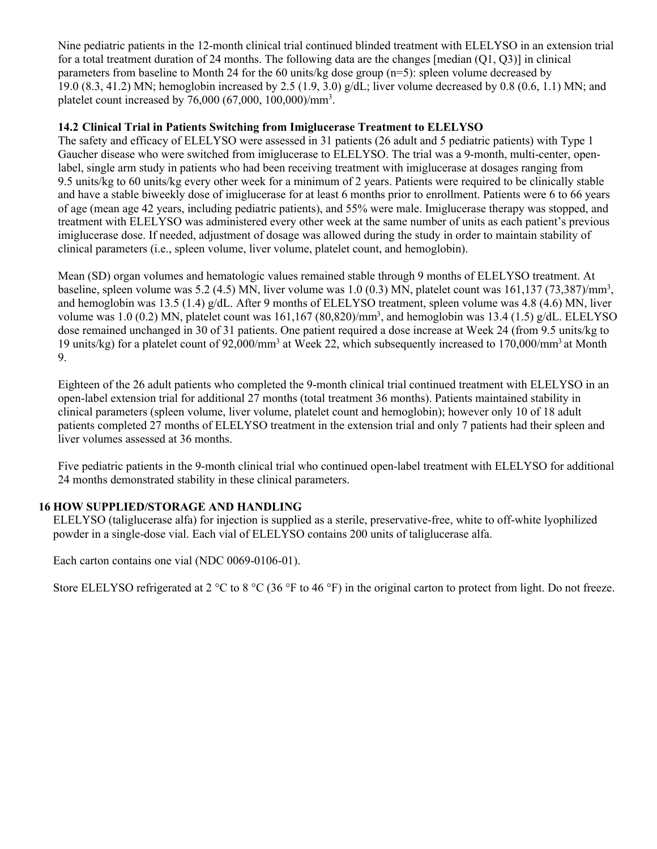Nine pediatric patients in the 12-month clinical trial continued blinded treatment with ELELYSO in an extension trial for a total treatment duration of 24 months. The following data are the changes [median  $(Q1, Q3)$ ] in clinical parameters from baseline to Month 24 for the 60 units/kg dose group (n=5): spleen volume decreased by 19.0 (8.3, 41.2) MN; hemoglobin increased by 2.5 (1.9, 3.0) g/dL; liver volume decreased by 0.8 (0.6, 1.1) MN; and platelet count increased by 76,000 (67,000, 100,000)/mm<sup>3</sup>.

## **14.2 Clinical Trial in Patients Switching from Imiglucerase Treatment to ELELYSO**

The safety and efficacy of ELELYSO were assessed in 31 patients (26 adult and 5 pediatric patients) with Type 1 Gaucher disease who were switched from imiglucerase to ELELYSO. The trial was a 9-month, multi-center, openlabel, single arm study in patients who had been receiving treatment with imiglucerase at dosages ranging from 9.5 units/kg to 60 units/kg every other week for a minimum of 2 years. Patients were required to be clinically stable and have a stable biweekly dose of imiglucerase for at least 6 months prior to enrollment. Patients were 6 to 66 years of age (mean age 42 years, including pediatric patients), and 55% were male. Imiglucerase therapy was stopped, and treatment with ELELYSO was administered every other week at the same number of units as each patient's previous imiglucerase dose. If needed, adjustment of dosage was allowed during the study in order to maintain stability of clinical parameters (i.e., spleen volume, liver volume, platelet count, and hemoglobin).

Mean (SD) organ volumes and hematologic values remained stable through 9 months of ELELYSO treatment. At baseline, spleen volume was 5.2 (4.5) MN, liver volume was  $1.0$  (0.3) MN, platelet count was  $161,137$  (73,387)/mm<sup>3</sup>, and hemoglobin was 13.5 (1.4) g/dL. After 9 months of ELELYSO treatment, spleen volume was 4.8 (4.6) MN, liver volume was  $1.0$  (0.2) MN, platelet count was  $161,167$  (80,820)/mm<sup>3</sup>, and hemoglobin was  $13.4$  (1.5) g/dL. ELELYSO dose remained unchanged in 30 of 31 patients. One patient required a dose increase at Week 24 (from 9.5 units/kg to 19 units/kg) for a platelet count of 92,000/mm<sup>3</sup> at Week 22, which subsequently increased to 170,000/mm<sup>3</sup> at Month 9.

Eighteen of the 26 adult patients who completed the 9-month clinical trial continued treatment with ELELYSO in an open-label extension trial for additional 27 months (total treatment 36 months). Patients maintained stability in clinical parameters (spleen volume, liver volume, platelet count and hemoglobin); however only 10 of 18 adult patients completed 27 months of ELELYSO treatment in the extension trial and only 7 patients had their spleen and liver volumes assessed at 36 months.

Five pediatric patients in the 9-month clinical trial who continued open-label treatment with ELELYSO for additional 24 months demonstrated stability in these clinical parameters.

## **16 HOW SUPPLIED/STORAGE AND HANDLING**

ELELYSO (taliglucerase alfa) for injection is supplied as a sterile, preservative-free, white to off-white lyophilized powder in a single-dose vial. Each vial of ELELYSO contains 200 units of taliglucerase alfa.

Each carton contains one vial (NDC 0069-0106-01).

Store ELELYSO refrigerated at 2 °C to 8 °C (36 °F to 46 °F) in the original carton to protect from light. Do not freeze.